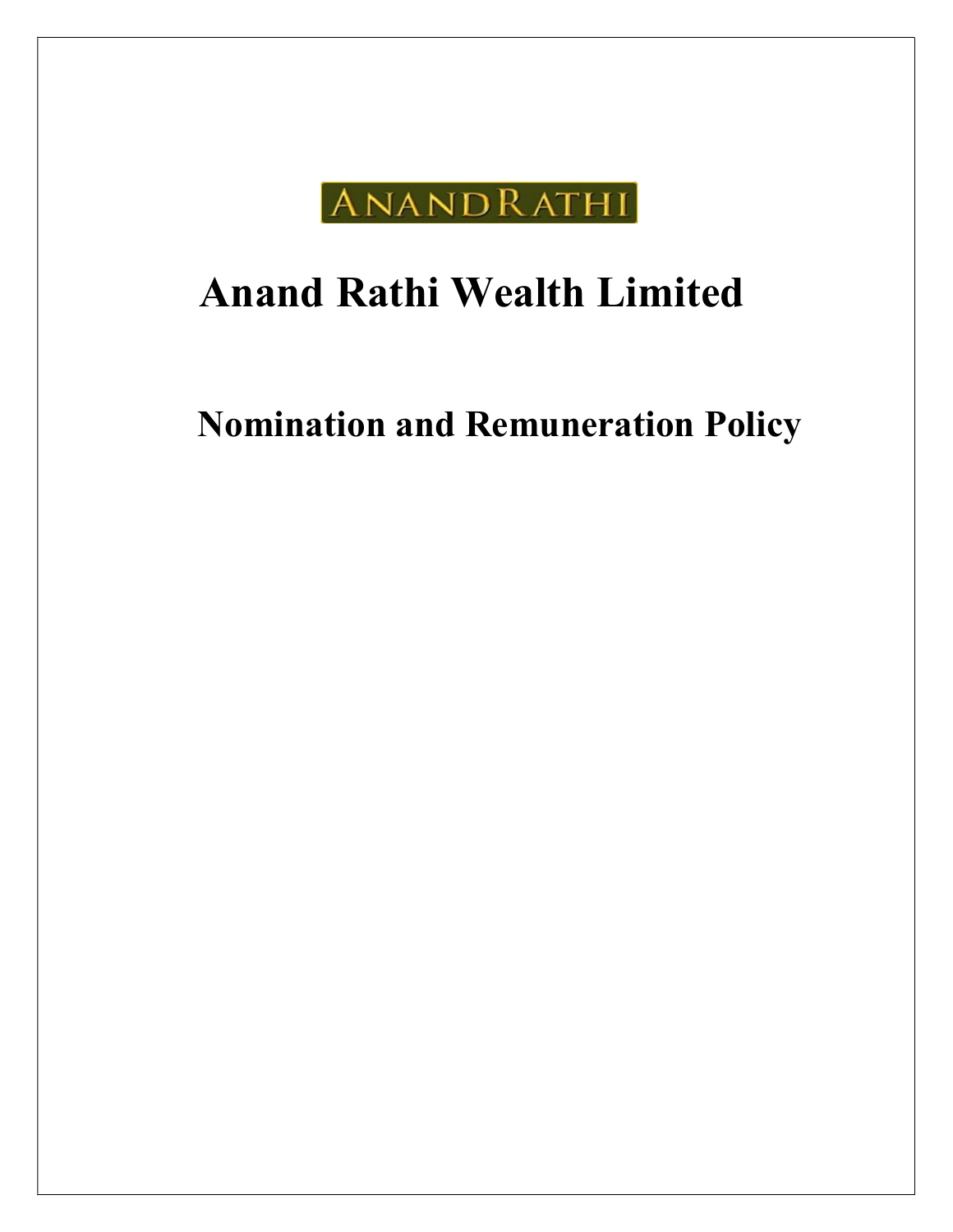

# Anand Rathi Wealth Limited

Nomination and Remuneration Policy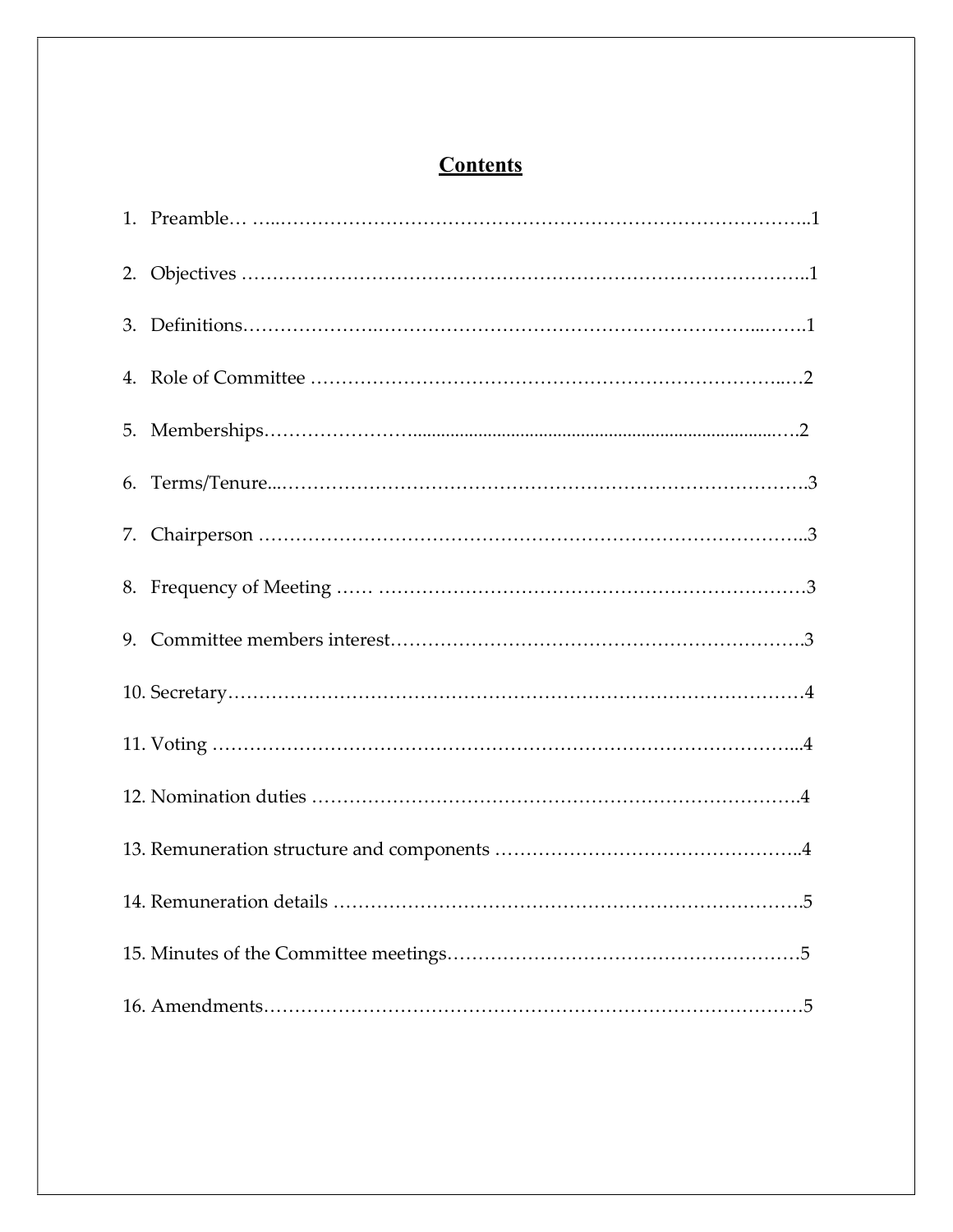# **Contents**

| 5 <sup>1</sup> |
|----------------|
|                |
|                |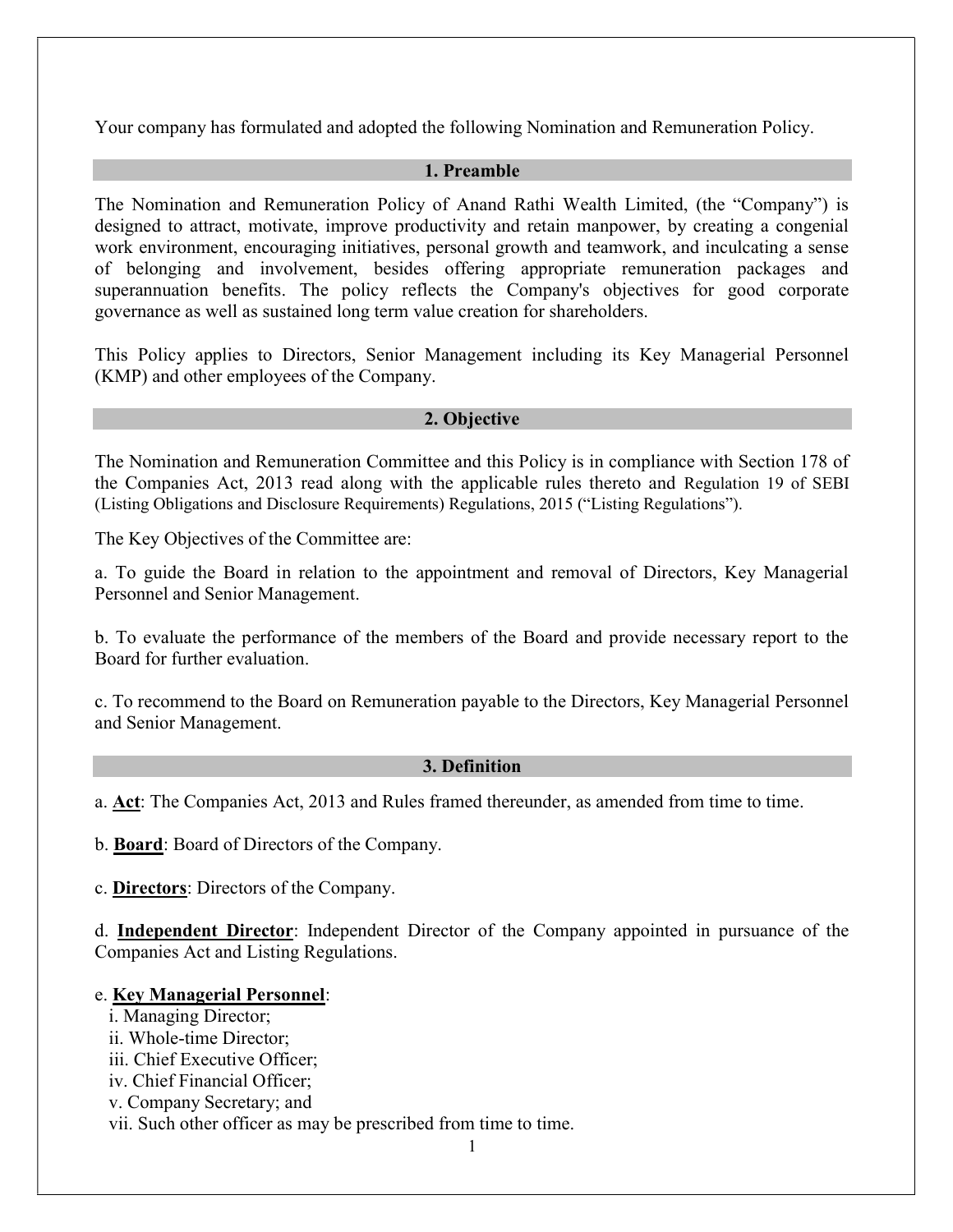Your company has formulated and adopted the following Nomination and Remuneration Policy.

#### 1. Preamble

The Nomination and Remuneration Policy of Anand Rathi Wealth Limited, (the "Company") is designed to attract, motivate, improve productivity and retain manpower, by creating a congenial work environment, encouraging initiatives, personal growth and teamwork, and inculcating a sense of belonging and involvement, besides offering appropriate remuneration packages and superannuation benefits. The policy reflects the Company's objectives for good corporate governance as well as sustained long term value creation for shareholders.

This Policy applies to Directors, Senior Management including its Key Managerial Personnel (KMP) and other employees of the Company.

#### 2. Objective

The Nomination and Remuneration Committee and this Policy is in compliance with Section 178 of the Companies Act, 2013 read along with the applicable rules thereto and Regulation 19 of SEBI (Listing Obligations and Disclosure Requirements) Regulations, 2015 ("Listing Regulations").

The Key Objectives of the Committee are:

a. To guide the Board in relation to the appointment and removal of Directors, Key Managerial Personnel and Senior Management.

b. To evaluate the performance of the members of the Board and provide necessary report to the Board for further evaluation.

c. To recommend to the Board on Remuneration payable to the Directors, Key Managerial Personnel and Senior Management.

#### 3. Definition

a. Act: The Companies Act, 2013 and Rules framed thereunder, as amended from time to time.

b. Board: Board of Directors of the Company.

c. **Directors**: Directors of the Company.

d. Independent Director: Independent Director of the Company appointed in pursuance of the Companies Act and Listing Regulations.

#### e. Key Managerial Personnel:

- i. Managing Director;
- ii. Whole-time Director;
- iii. Chief Executive Officer;
- iv. Chief Financial Officer;
- v. Company Secretary; and
- vii. Such other officer as may be prescribed from time to time.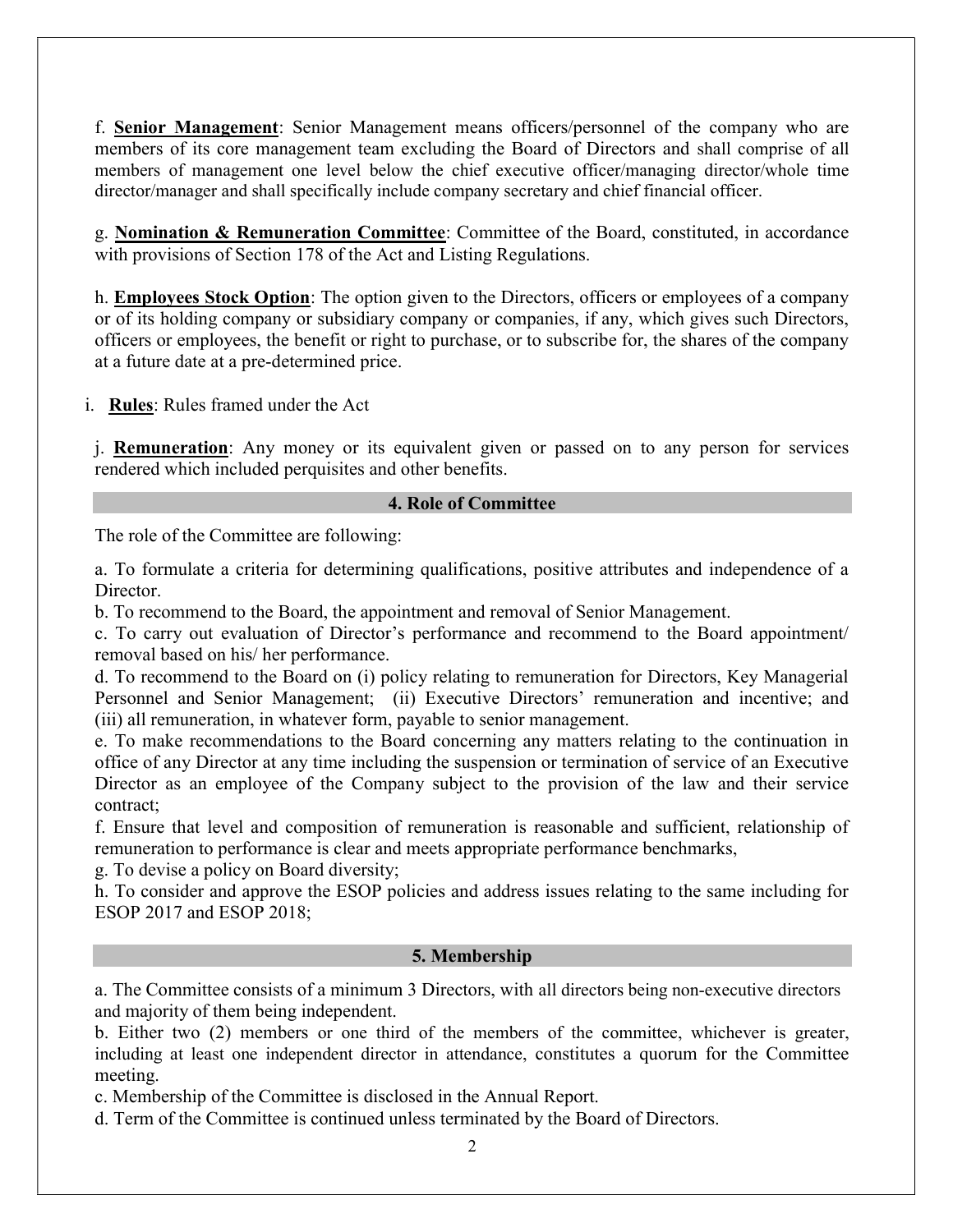f. Senior Management: Senior Management means officers/personnel of the company who are members of its core management team excluding the Board of Directors and shall comprise of all members of management one level below the chief executive officer/managing director/whole time director/manager and shall specifically include company secretary and chief financial officer.

g. Nomination & Remuneration Committee: Committee of the Board, constituted, in accordance with provisions of Section 178 of the Act and Listing Regulations.

h. **Employees Stock Option**: The option given to the Directors, officers or employees of a company or of its holding company or subsidiary company or companies, if any, which gives such Directors, officers or employees, the benefit or right to purchase, or to subscribe for, the shares of the company at a future date at a pre-determined price.

i. Rules: Rules framed under the Act

j. Remuneration: Any money or its equivalent given or passed on to any person for services rendered which included perquisites and other benefits.

## 4. Role of Committee

The role of the Committee are following:

a. To formulate a criteria for determining qualifications, positive attributes and independence of a Director.

b. To recommend to the Board, the appointment and removal of Senior Management.

c. To carry out evaluation of Director's performance and recommend to the Board appointment/ removal based on his/ her performance.

d. To recommend to the Board on (i) policy relating to remuneration for Directors, Key Managerial Personnel and Senior Management; (ii) Executive Directors' remuneration and incentive; and (iii) all remuneration, in whatever form, payable to senior management.

e. To make recommendations to the Board concerning any matters relating to the continuation in office of any Director at any time including the suspension or termination of service of an Executive Director as an employee of the Company subject to the provision of the law and their service contract;

f. Ensure that level and composition of remuneration is reasonable and sufficient, relationship of remuneration to performance is clear and meets appropriate performance benchmarks,

g. To devise a policy on Board diversity;

h. To consider and approve the ESOP policies and address issues relating to the same including for ESOP 2017 and ESOP 2018;

#### 5. Membership

a. The Committee consists of a minimum 3 Directors, with all directors being non-executive directors and majority of them being independent.

b. Either two (2) members or one third of the members of the committee, whichever is greater, including at least one independent director in attendance, constitutes a quorum for the Committee meeting.

c. Membership of the Committee is disclosed in the Annual Report.

d. Term of the Committee is continued unless terminated by the Board of Directors.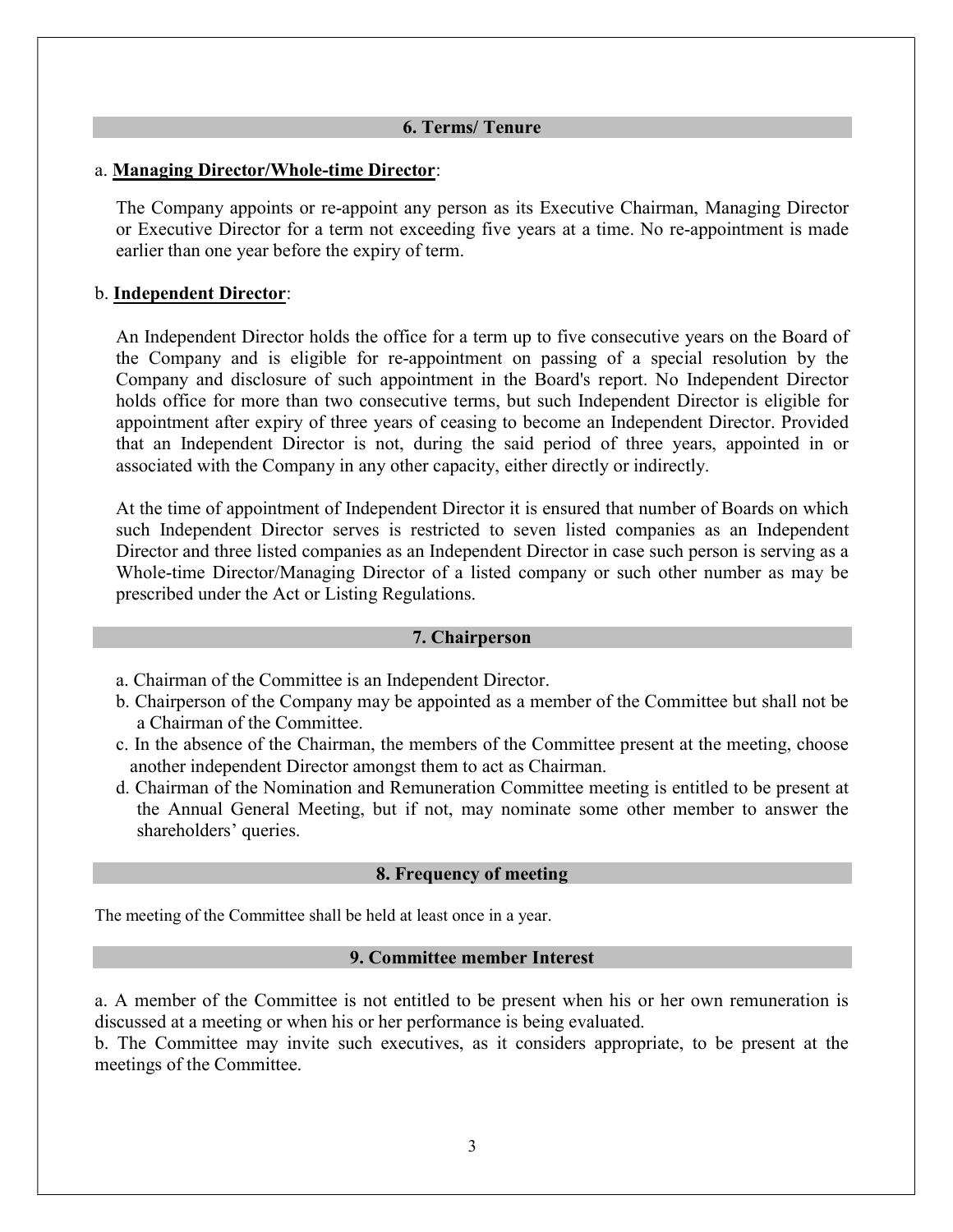#### 6. Terms/ Tenure

#### a. Managing Director/Whole-time Director:

The Company appoints or re-appoint any person as its Executive Chairman, Managing Director or Executive Director for a term not exceeding five years at a time. No re-appointment is made earlier than one year before the expiry of term.

# b. Independent Director:

An Independent Director holds the office for a term up to five consecutive years on the Board of the Company and is eligible for re-appointment on passing of a special resolution by the Company and disclosure of such appointment in the Board's report. No Independent Director holds office for more than two consecutive terms, but such Independent Director is eligible for appointment after expiry of three years of ceasing to become an Independent Director. Provided that an Independent Director is not, during the said period of three years, appointed in or associated with the Company in any other capacity, either directly or indirectly.

At the time of appointment of Independent Director it is ensured that number of Boards on which such Independent Director serves is restricted to seven listed companies as an Independent Director and three listed companies as an Independent Director in case such person is serving as a Whole-time Director/Managing Director of a listed company or such other number as may be prescribed under the Act or Listing Regulations.

#### 7. Chairperson

- a. Chairman of the Committee is an Independent Director.
- b. Chairperson of the Company may be appointed as a member of the Committee but shall not be a Chairman of the Committee.
- c. In the absence of the Chairman, the members of the Committee present at the meeting, choose another independent Director amongst them to act as Chairman.
- d. Chairman of the Nomination and Remuneration Committee meeting is entitled to be present at the Annual General Meeting, but if not, may nominate some other member to answer the shareholders' queries.

#### 8. Frequency of meeting

The meeting of the Committee shall be held at least once in a year.

#### 9. Committee member Interest

a. A member of the Committee is not entitled to be present when his or her own remuneration is discussed at a meeting or when his or her performance is being evaluated.

b. The Committee may invite such executives, as it considers appropriate, to be present at the meetings of the Committee.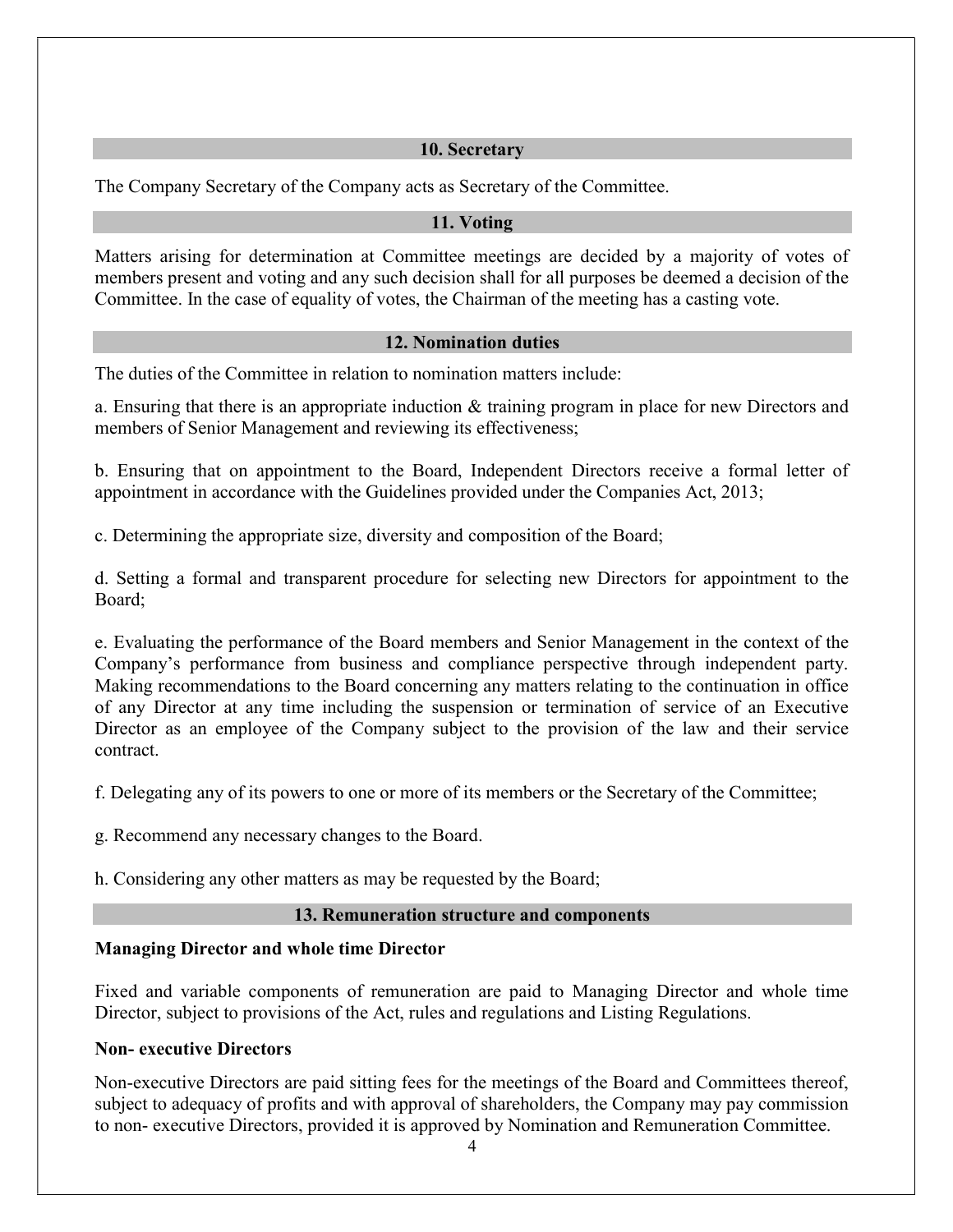# 10. Secretary

The Company Secretary of the Company acts as Secretary of the Committee.

# 11. Voting

Matters arising for determination at Committee meetings are decided by a majority of votes of members present and voting and any such decision shall for all purposes be deemed a decision of the Committee. In the case of equality of votes, the Chairman of the meeting has a casting vote.

# 12. Nomination duties

The duties of the Committee in relation to nomination matters include:

a. Ensuring that there is an appropriate induction & training program in place for new Directors and members of Senior Management and reviewing its effectiveness;

b. Ensuring that on appointment to the Board, Independent Directors receive a formal letter of appointment in accordance with the Guidelines provided under the Companies Act, 2013;

c. Determining the appropriate size, diversity and composition of the Board;

d. Setting a formal and transparent procedure for selecting new Directors for appointment to the Board;

e. Evaluating the performance of the Board members and Senior Management in the context of the Company's performance from business and compliance perspective through independent party. Making recommendations to the Board concerning any matters relating to the continuation in office of any Director at any time including the suspension or termination of service of an Executive Director as an employee of the Company subject to the provision of the law and their service contract.

f. Delegating any of its powers to one or more of its members or the Secretary of the Committee;

g. Recommend any necessary changes to the Board.

h. Considering any other matters as may be requested by the Board;

# 13. Remuneration structure and components

# Managing Director and whole time Director

Fixed and variable components of remuneration are paid to Managing Director and whole time Director, subject to provisions of the Act, rules and regulations and Listing Regulations.

# Non- executive Directors

Non-executive Directors are paid sitting fees for the meetings of the Board and Committees thereof, subject to adequacy of profits and with approval of shareholders, the Company may pay commission to non- executive Directors, provided it is approved by Nomination and Remuneration Committee.